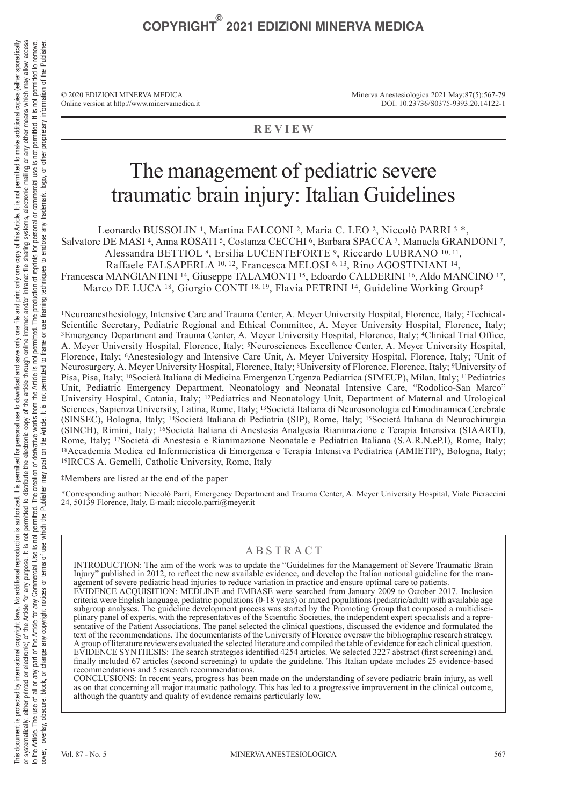© 2020 EDIZIONI MINERVA MEDICA Online version at http://www.minervamedica.it Minerva Anestesiologica 2021 May;87(5):567-79 DOI: 10.23736/S0375-9393.20.14122-1

### **REVIEW**

## The management of pediatric severe traumatic brain injury: Italian Guidelines

Leonardo BUSSOLIN 1, Martina FALCONI 2, Maria C. LEO 2, Niccolò PARRI 3 \*,

Salvatore DE MASI 4, Anna ROSATI 5, Costanza CECCHI 6, Barbara SPACCA 7, Manuela GRANDONI 7,

Alessandra BETTIOL 8, Ersilia LUCENTEFORTE 9, Riccardo LUBRANO 10, 11,

Raffaele FALSAPERLA 10, 12, Francesca MELOSI 6, 13, Rino AGOSTINIANI 14,

Francesca MANGIANTINI<sup>14</sup>, Giuseppe TALAMONTI<sup>15</sup>, Edoardo CALDERINI<sup>16</sup>, Aldo MANCINO<sup>17</sup>, Marco DE LUCA 18, Giorgio CONTI 18, 19, Flavia PETRINI 14, Guideline Working Group‡

1Neuroanesthesiology, Intensive Care and Trauma Center, A. Meyer University Hospital, Florence, Italy; 2Techical-Scientific Secretary, Pediatric Regional and Ethical Committee, A. Meyer University Hospital, Florence, Italy; 3Emergency Department and Trauma Center, A. Meyer University Hospital, Florence, Italy; 4Clinical Trial Office, A. Meyer University Hospital, Florence, Italy; 5Neurosciences Excellence Center, A. Meyer University Hospital, Florence, Italy; 6Anestesiology and Intensive Care Unit, A. Meyer University Hospital, Florence, Italy; 7Unit of Neurosurgery, A. Meyer University Hospital, Florence, Italy; 8University of Florence, Florence, Italy; 9University of Pisa, Pisa, Italy; 10Società Italiana di Medicina Emergenza Urgenza Pediatrica (SIMEUP), Milan, Italy; 11Pediatrics Unit, Pediatric Emergency Department, Neonatology and Neonatal Intensive Care, "Rodolico-San Marco" University Hospital, Catania, Italy; 12Pediatrics and Neonatology Unit, Department of Maternal and Urological Sciences, Sapienza University, Latina, Rome, Italy; 13Società Italiana di Neurosonologia ed Emodinamica Cerebrale (SINSEC), Bologna, Italy; 14Società Italiana di Pediatria (SIP), Rome, Italy; 15Società Italiana di Neurochirurgia (SINCH), Rimini, Italy; 16Società Italiana di Anestesia Analgesia Rianimazione e Terapia Intensiva (SIAARTI), <sup>18</sup> Accademia Medica ed Infermieristica di Emergenza e Terapia Intensiva Pediatrica (AMIETIP), Bologna, Italy;<br><sup>19</sup>IRCCS A. Gemelli, Catholic University, Rome, Italy

**‡**Members are listed at the end of the paper

\*Corresponding author: Niccolò Parri, Emergency Department and Trauma Center, A. Meyer University Hospital, Viale Pieraccini 24, 50139 Florence, Italy. E-mail: niccolo.parri@meyer.it

## A B STRACT

INTRODUCTION: The aim of the work was to update the "Guidelines for the Management of Severe Traumatic Brain Injury" published in 2012, to reflect the new available evidence, and develop the Italian national guideline for the management of severe pediatric head injuries to reduce variation in practice and ensure optimal care to patients. EVIDENCE ACQUISITION: MEDLINE and EMBASE were searched from January 2009 to October 2017. Inclusion criteria were English language, pediatric populations (0-18 years) or mixed populations (pediatric/adult) with available age subgroup analyses. The guideline development process was started by the Promoting Group that composed a multidisciplinary panel of experts, with the representatives of the Scientific Societies, the independent expert specialists and a representative of the Patient Associations. The panel selected the clinical questions, discussed the evidence and formulated the text of the recommendations. The documentarists of the University of Florence oversaw the bibliographic research strategy. A group of literature reviewers evaluated the selected literature and compiled the table of evidence for each clinical question. EVIDENCE SYNTHESIS: The search strategies identified 4254 articles. We selected 3227 abstract (first screening) and, finally included 67 articles (second screening) to update the guideline. This Italian update includes 25 evidence-based recommendations and 5 research recommendations.

CONCLUSIONS: In recent years, progress has been made on the understanding of severe pediatric brain injury, as well as on that concerning all major traumatic pathology. This has led to a progressive improvement in the clinical outcome, although the quantity and quality of evidence remains particularly low.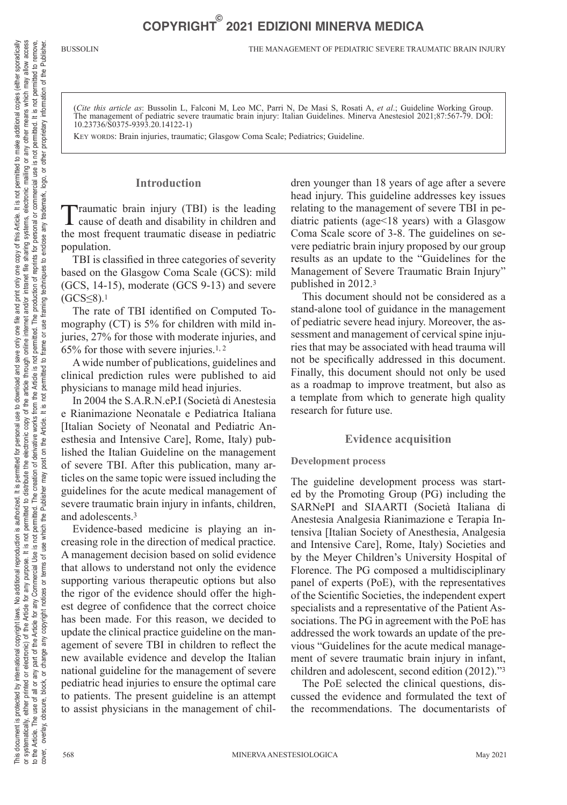(*Cite this article as*: Bussolin L, Falconi M, Leo MC, Parri N, De Masi S, Rosati A, *et al*.; Guideline Working Group. The management of pediatric severe traumatic brain injury: Italian Guidelines. Minerva Anestesiol 2021;87:567-79. DOI: 10.23736/S0375-9393.20.14122-1)

KEY WORDS: Brain injuries, traumatic; Glasgow Coma Scale; Pediatrics; Guideline.

### **Introduction**

Traumatic brain injury (TBI) is the leading cause of death and disability in children and the most frequent traumatic disease in pediatric population.

TBI is classified in three categories of severity based on the Glasgow Coma Scale (GCS): mild (GCS, 14-15), moderate (GCS 9-13) and severe  $(GCS \leq 8).1$ 

The rate of TBI identified on Computed Tomography (CT) is 5% for children with mild injuries, 27% for those with moderate injuries, and 65% for those with severe injuries.1, 2

A wide number of publications, guidelines and clinical prediction rules were published to aid physicians to manage mild head injuries.

In 2004 the S.A.R.N.eP.I (Società di Anestesia e Rianimazione Neonatale e Pediatrica Italiana [Italian Society of Neonatal and Pediatric Anesthesia and Intensive Care], Rome, Italy) published the Italian Guideline on the management of severe TBI. After this publication, many articles on the same topic were issued including the guidelines for the acute medical management of severe traumatic brain injury in infants, children, and adolescents.3

Evidence-based medicine is playing an increasing role in the direction of medical practice. A management decision based on solid evidence that allows to understand not only the evidence supporting various therapeutic options but also the rigor of the evidence should offer the highest degree of confidence that the correct choice has been made. For this reason, we decided to update the clinical practice guideline on the management of severe TBI in children to reflect the new available evidence and develop the Italian national guideline for the management of severe pediatric head injuries to ensure the optimal care to patients. The present guideline is an attempt to assist physicians in the management of children younger than 18 years of age after a severe head injury. This guideline addresses key issues relating to the management of severe TBI in pediatric patients (age<18 years) with a Glasgow Coma Scale score of 3-8. The guidelines on severe pediatric brain injury proposed by our group results as an update to the "Guidelines for the Management of Severe Traumatic Brain Injury" published in 2012.3

This document should not be considered as a stand-alone tool of guidance in the management of pediatric severe head injury. Moreover, the assessment and management of cervical spine injuries that may be associated with head trauma will not be specifically addressed in this document. Finally, this document should not only be used as a roadmap to improve treatment, but also as a template from which to generate high quality research for future use.

#### **Evidence acquisition**

#### **Development process**

The guideline development process was started by the Promoting Group (PG) including the SARNePI and SIAARTI (Società Italiana di Anestesia Analgesia Rianimazione e Terapia Intensiva [Italian Society of Anesthesia, Analgesia and Intensive Care], Rome, Italy) Societies and by the Meyer Children's University Hospital of Florence. The PG composed a multidisciplinary panel of experts (PoE), with the representatives of the Scientific Societies, the independent expert specialists and a representative of the Patient Associations. The PG in agreement with the PoE has addressed the work towards an update of the previous "Guidelines for the acute medical management of severe traumatic brain injury in infant, children and adolescent, second edition (2012)."3

The PoE selected the clinical questions, discussed the evidence and formulated the text of the recommendations. The documentarists of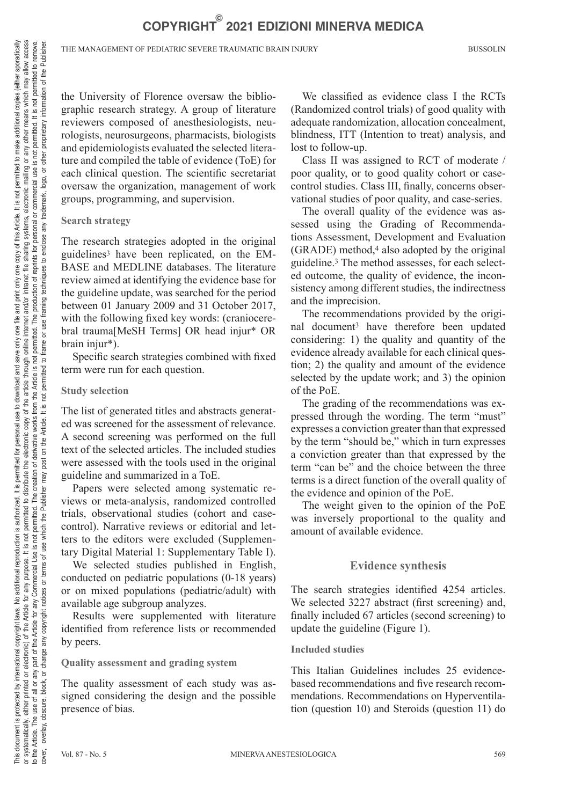the University of Florence oversaw the bibliographic research strategy. A group of literature reviewers composed of anesthesiologists, neurologists, neurosurgeons, pharmacists, biologists and epidemiologists evaluated the selected literature and compiled the table of evidence (ToE) for each clinical question. The scientific secretariat oversaw the organization, management of work groups, programming, and supervision.

### **Search strategy**

The research strategies adopted in the original guidelines3 have been replicated, on the EM-BASE and MEDLINE databases. The literature review aimed at identifying the evidence base for the guideline update, was searched for the period between 01 January 2009 and 31 October 2017, with the following fixed key words: (craniocerebral trauma[MeSH Terms] OR head injur\* OR brain injur\*).

Specific search strategies combined with fixed term were run for each question.

### **Study selection**

The list of generated titles and abstracts generated was screened for the assessment of relevance. A second screening was performed on the full text of the selected articles. The included studies were assessed with the tools used in the original guideline and summarized in a ToE.

Papers were selected among systematic reviews or meta-analysis, randomized controlled trials, observational studies (cohort and casecontrol). Narrative reviews or editorial and letters to the editors were excluded (Supplementary Digital Material 1: Supplementary Table I).

We selected studies published in English, conducted on pediatric populations (0-18 years) or on mixed populations (pediatric/adult) with available age subgroup analyzes.

Results were supplemented with literature identified from reference lists or recommended by peers.

### **Quality assessment and grading system**

The quality assessment of each study was assigned considering the design and the possible presence of bias.

We classified as evidence class I the RCTs (Randomized control trials) of good quality with adequate randomization, allocation concealment, blindness, ITT (Intention to treat) analysis, and lost to follow-up.

Class II was assigned to RCT of moderate / poor quality, or to good quality cohort or casecontrol studies. Class III, finally, concerns observational studies of poor quality, and case-series.

The overall quality of the evidence was assessed using the Grading of Recommendations Assessment, Development and Evaluation (GRADE) method,4 also adopted by the original guideline.3 The method assesses, for each selected outcome, the quality of evidence, the inconsistency among different studies, the indirectness and the imprecision.

The recommendations provided by the original document3 have therefore been updated considering: 1) the quality and quantity of the evidence already available for each clinical question; 2) the quality and amount of the evidence selected by the update work; and 3) the opinion of the PoE.

The grading of the recommendations was expressed through the wording. The term "must" expresses a conviction greater than that expressed by the term "should be," which in turn expresses a conviction greater than that expressed by the term "can be" and the choice between the three terms is a direct function of the overall quality of the evidence and opinion of the PoE.

The weight given to the opinion of the PoE was inversely proportional to the quality and amount of available evidence.

### **Evidence synthesis**

The search strategies identified 4254 articles. We selected 3227 abstract (first screening) and, finally included 67 articles (second screening) to update the guideline (Figure 1).

### **Included studies**

This Italian Guidelines includes 25 evidencebased recommendations and five research recommendations. Recommendations on Hyperventilation (question 10) and Steroids (question 11) do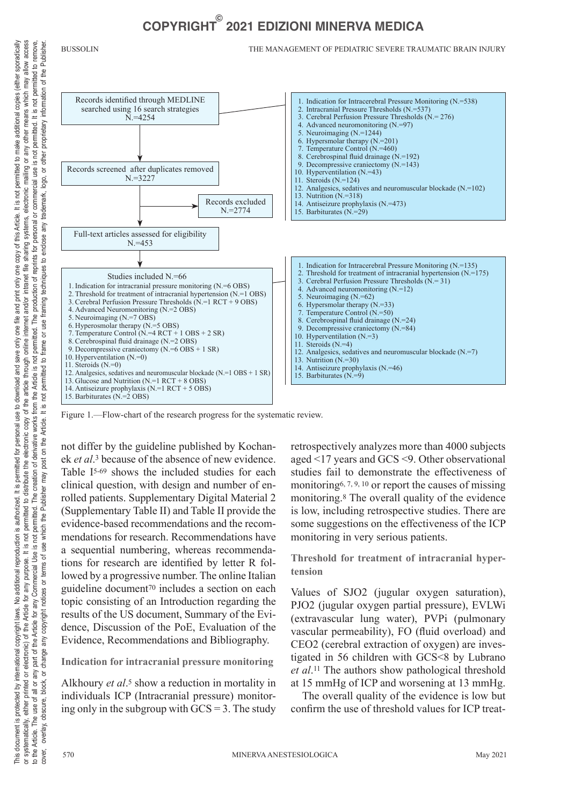#### BUSSOLIN THE MANAGEMENT OF PEDIATRIC SEVERE TRAUMATIC BRAIN INJURY



Figure 1.—Flow-chart of the research progress for the systematic review.

not differ by the guideline published by Kochanek *et al*.3 because of the absence of new evidence. Table I5-69 shows the included studies for each clinical question, with design and number of enrolled patients. Supplementary Digital Material 2 (Supplementary Table II) and Table II provide the evidence-based recommendations and the recommendations for research. Recommendations have a sequential numbering, whereas recommendations for research are identified by letter R followed by a progressive number. The online Italian guideline document70 includes a section on each topic consisting of an Introduction regarding the results of the US document, Summary of the Evidence, Discussion of the PoE, Evaluation of the Evidence, Recommendations and Bibliography.

**Indication for intracranial pressure monitoring**

Alkhoury *et al*.5 show a reduction in mortality in individuals ICP (Intracranial pressure) monitoring only in the subgroup with  $GCS = 3$ . The study retrospectively analyzes more than 4000 subjects aged <17 years and GCS <9. Other observational studies fail to demonstrate the effectiveness of monitoring6, 7, 9, 10 or report the causes of missing monitoring.8 The overall quality of the evidence is low, including retrospective studies. There are some suggestions on the effectiveness of the ICP monitoring in very serious patients.

**Threshold for treatment of intracranial hypertension**

Values of SJO2 (jugular oxygen saturation), PJO2 (jugular oxygen partial pressure), EVLWi (extravascular lung water), PVPi (pulmonary vascular permeability), FO (fluid overload) and CEO2 (cerebral extraction of oxygen) are investigated in 56 children with GCS<8 by Lubrano *et al*.11 The authors show pathological threshold at 15 mmHg of ICP and worsening at 13 mmHg.

The overall quality of the evidence is low but confirm the use of threshold values for ICP treat-

This document is protected by international relational reproduction is authorized. It is permitted for personal use to download and save only one file and print only on this Article. It is not permitted to make additional or systematically, ether printed or electronic) of the Article for any purpose. It is not permitted to distribute the electronic copy of the article through online and/or intranet file sharing systems, electronic mailing o to the Article. The use of all or any Commercial Use is not permited. The creation of derivative works from the Article is not permitted. The production of reprints for personal or commercial use is not permitted to remove

systematically, either printed or electronic) of the Article for any purpose. It is not permitted<br>the Article. The use of all or any part of the Article for any Commercial Use is not permitted.<br>wer, overlay, obscure, block

to the Article. cover.  $\overline{\sigma}$ 

use is not

This docurnent is protected by international copyright laws. No additional reproduction is authorized. It is permitted for personal use to download and save only one file and print only on files. Article, it is not permitt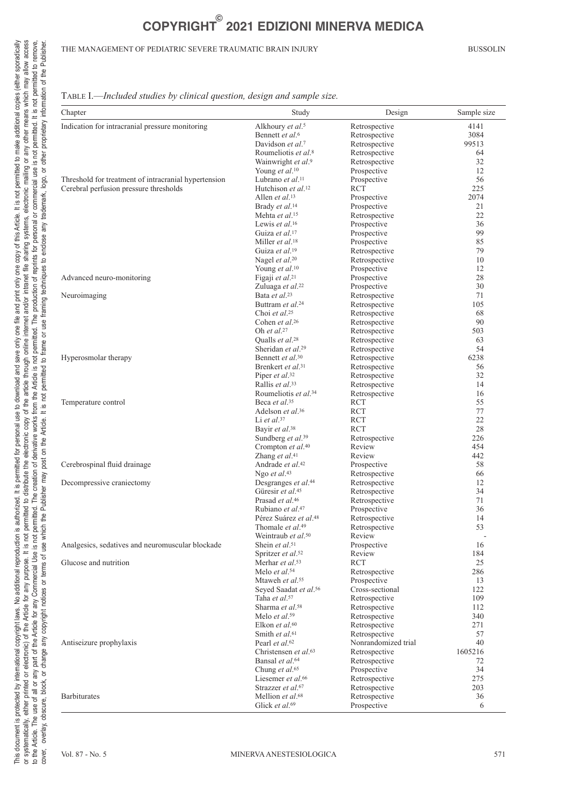#### THE MANAGEMENT OF PEDIATRIC SEVERE TRAUMATIC BRAIN INJURY BUSSOLIN

## Table I.—*Included studies by clinical question, design and sample size.*

| Chapter                                              | Study                             | Design              | Sample size |
|------------------------------------------------------|-----------------------------------|---------------------|-------------|
| Indication for intracranial pressure monitoring      | Alkhoury et al. <sup>5</sup>      | Retrospective       | 4141        |
|                                                      | Bennett et al. <sup>6</sup>       | Retrospective       | 3084        |
|                                                      | Davidson et al. <sup>7</sup>      | Retrospective       | 99513       |
|                                                      | Roumeliotis et al. <sup>8</sup>   | Retrospective       | 64          |
|                                                      | Wainwright et al.9                | Retrospective       | 32          |
|                                                      | Young et al. <sup>10</sup>        | Prospective         | 12          |
| Threshold for treatment of intracranial hypertension | Lubrano et al. <sup>11</sup>      | Prospective         | 56          |
| Cerebral perfusion pressure thresholds               | Hutchison et al. <sup>12</sup>    | RCT                 | 225         |
|                                                      | Allen et al. <sup>13</sup>        | Prospective         | 2074        |
|                                                      | Brady et al. <sup>14</sup>        | Prospective         | 21          |
|                                                      | Mehta et al. <sup>15</sup>        | Retrospective       | 22          |
|                                                      | Lewis et al. <sup>16</sup>        | Prospective         | 36          |
|                                                      | Guiza et al. <sup>17</sup>        | Prospective         | 99          |
|                                                      | Miller et al. <sup>18</sup>       | Prospective         | 85          |
|                                                      | Guiza et al. <sup>19</sup>        | Retrospective       | 79          |
|                                                      | Nagel et al. <sup>20</sup>        | Retrospective       | 10          |
|                                                      | Young et al. <sup>10</sup>        | Prospective         | 12          |
| Advanced neuro-monitoring                            | Figaji et al. <sup>21</sup>       | Prospective         | 28          |
|                                                      | Zuluaga et al. <sup>22</sup>      | Prospective         | 30          |
| Neuroimaging                                         | Bata et al. <sup>23</sup>         | Retrospective       | 71          |
|                                                      | Buttram et al. <sup>24</sup>      | Retrospective       | 105         |
|                                                      | Choi et al. <sup>25</sup>         | Retrospective       | 68          |
|                                                      | Cohen et al. <sup>26</sup>        | Retrospective       | 90          |
|                                                      | Oh et al. <sup>27</sup>           | Retrospective       | 503         |
|                                                      | Qualls et al. <sup>28</sup>       | Retrospective       | 63          |
|                                                      | Sheridan et al. <sup>29</sup>     | Retrospective       | 54          |
| Hyperosmolar therapy                                 | Bennett et al. <sup>30</sup>      | Retrospective       | 6238        |
|                                                      | Brenkert et al. <sup>31</sup>     | Retrospective       | 56          |
|                                                      | Piper et al. <sup>32</sup>        | Retrospective       | 32          |
|                                                      | Rallis et al. <sup>33</sup>       | Retrospective       | 14          |
|                                                      | Roumeliotis et al. <sup>34</sup>  | Retrospective       | 16          |
| Temperature control                                  | Beca et al. <sup>35</sup>         | RCT                 | 55          |
|                                                      | Adelson et al. <sup>36</sup>      | RCT                 | 77          |
|                                                      | Li et al. $37$                    | <b>RCT</b>          | 22          |
|                                                      | Bayir et al. <sup>38</sup>        | RCT                 | 28          |
|                                                      | Sundberg et al. <sup>39</sup>     | Retrospective       | 226         |
|                                                      | Crompton et al. <sup>40</sup>     | Review              | 454         |
|                                                      | Zhang et al. <sup>41</sup>        | Review              | 442         |
| Cerebrospinal fluid drainage                         | Andrade et al. <sup>42</sup>      | Prospective         | 58          |
|                                                      | Ngo et al. <sup>43</sup>          | Retrospective       | 66          |
| Decompressive craniectomy                            | Desgranges et al. <sup>44</sup>   | Retrospective       | 12          |
|                                                      | Güresir et al. <sup>45</sup>      | Retrospective       | 34          |
|                                                      | Prasad et al. <sup>46</sup>       | Retrospective       | 71          |
|                                                      | Rubiano et al. <sup>47</sup>      | Prospective         | 36          |
|                                                      | Pérez Suárez et al. <sup>48</sup> | Retrospective       | 14          |
|                                                      | Thomale et al. <sup>49</sup>      | Retrospective       | 53          |
|                                                      | Weintraub et al. <sup>50</sup>    | Review              |             |
| Analgesics, sedatives and neuromuscular blockade     | Shein et al. <sup>51</sup>        | Prospective         | 16          |
|                                                      | Spritzer et al. <sup>52</sup>     | Review              | 184         |
| Glucose and nutrition                                | Merhar et al. <sup>53</sup>       | RCT                 | 25          |
|                                                      | Melo et al. <sup>54</sup>         | Retrospective       | 286         |
|                                                      | Mtaweh et al. <sup>55</sup>       | Prospective         | 13          |
|                                                      | Seyed Saadat et al. <sup>56</sup> | Cross-sectional     | 122         |
|                                                      | Taha et al.57                     | Retrospective       | 109         |
|                                                      | Sharma et al. <sup>58</sup>       | Retrospective       | 112         |
|                                                      | Melo et al. <sup>59</sup>         | Retrospective       | 340         |
|                                                      | Elkon et al. <sup>60</sup>        | Retrospective       | 271         |
|                                                      | Smith et al. <sup>61</sup>        | Retrospective       | 57          |
| Antiseizure prophylaxis                              | Pearl et al. <sup>62</sup>        | Nonrandomized trial | 40          |
|                                                      | Christensen et al.63              | Retrospective       | 1605216     |
|                                                      | Bansal et al. <sup>64</sup>       | Retrospective       | 72          |
|                                                      | Chung et al. <sup>65</sup>        | Prospective         | 34          |
|                                                      | Liesemer et al. <sup>66</sup>     | Retrospective       | 275         |
|                                                      | Strazzer et al. <sup>67</sup>     | Retrospective       | 203         |
| <b>Barbiturates</b>                                  | Mellion et al. <sup>68</sup>      | Retrospective       | 36          |
|                                                      | Glick et al. <sup>69</sup>        | Prospective         | 6           |
|                                                      |                                   |                     |             |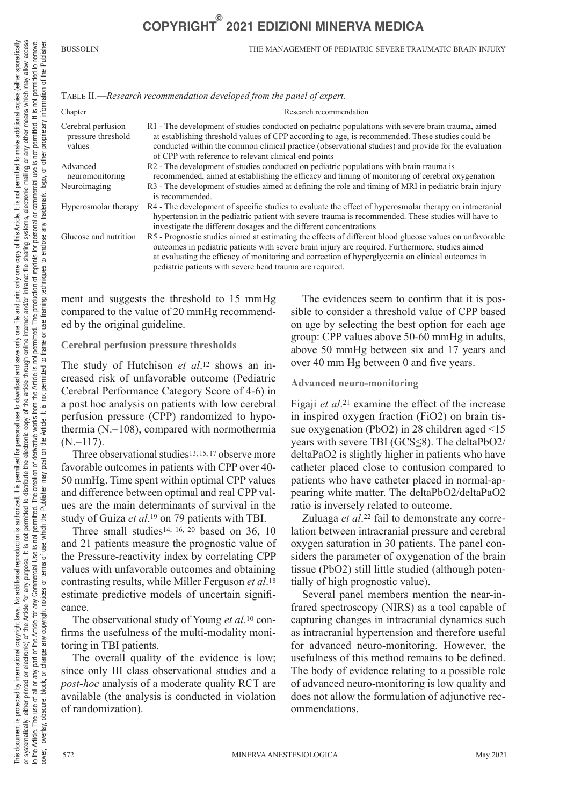BUSSOLIN THE MANAGEMENT OF PEDIATRIC SEVERE TRAUMATIC BRAIN INJURY

| TABLE II.—Research recommendation developed from the panel of expert. |  |
|-----------------------------------------------------------------------|--|
|-----------------------------------------------------------------------|--|

| Chapter                                            | Research recommendation                                                                                                                                                                                                                                                                                                                                                      |  |
|----------------------------------------------------|------------------------------------------------------------------------------------------------------------------------------------------------------------------------------------------------------------------------------------------------------------------------------------------------------------------------------------------------------------------------------|--|
| Cerebral perfusion<br>pressure threshold<br>values | R1 - The development of studies conducted on pediatric populations with severe brain trauma, aimed<br>at establishing threshold values of CPP according to age, is recommended. These studies could be<br>conducted within the common clinical practice (observational studies) and provide for the evaluation<br>of CPP with reference to relevant clinical end points      |  |
| Advanced<br>neuromonitoring                        | R2 - The development of studies conducted on pediatric populations with brain trauma is<br>recommended, aimed at establishing the efficacy and timing of monitoring of cerebral oxygenation                                                                                                                                                                                  |  |
| Neuroimaging                                       | R3 - The development of studies aimed at defining the role and timing of MRI in pediatric brain injury<br>is recommended.                                                                                                                                                                                                                                                    |  |
| Hyperosmolar therapy                               | R4 - The development of specific studies to evaluate the effect of hyperosmolar therapy on intracranial<br>hypertension in the pediatric patient with severe trauma is recommended. These studies will have to<br>investigate the different dosages and the different concentrations                                                                                         |  |
| Glucose and nutrition                              | R5 - Prognostic studies aimed at estimating the effects of different blood glucose values on unfavorable<br>outcomes in pediatric patients with severe brain injury are required. Furthermore, studies aimed<br>at evaluating the efficacy of monitoring and correction of hyperglycemia on clinical outcomes in<br>pediatric patients with severe head trauma are required. |  |

ment and suggests the threshold to 15 mmHg compared to the value of 20 mmHg recommended by the original guideline.

#### **Cerebral perfusion pressure thresholds**

The study of Hutchison *et al*.12 shows an increased risk of unfavorable outcome (Pediatric Cerebral Performance Category Score of 4-6) in a post hoc analysis on patients with low cerebral perfusion pressure (CPP) randomized to hypothermia (N.=108), compared with normothermia  $(N=117)$ .

Three observational studies13, 15, 17 observe more favorable outcomes in patients with CPP over 40- 50 mmHg. Time spent within optimal CPP values and difference between optimal and real CPP values are the main determinants of survival in the study of Guiza *et al*.19 on 79 patients with TBI.

Three small studies<sup>14, 16, 20</sup> based on 36, 10 and 21 patients measure the prognostic value of the Pressure-reactivity index by correlating CPP values with unfavorable outcomes and obtaining contrasting results, while Miller Ferguson *et al*.18 estimate predictive models of uncertain significance.

The observational study of Young *et al*.10 confirms the usefulness of the multi-modality monitoring in TBI patients.

The overall quality of the evidence is low; since only III class observational studies and a *post-hoc* analysis of a moderate quality RCT are available (the analysis is conducted in violation of randomization).

The evidences seem to confirm that it is possible to consider a threshold value of CPP based on age by selecting the best option for each age group: CPP values above 50-60 mmHg in adults, above 50 mmHg between six and 17 years and over 40 mm Hg between 0 and five years.

#### **Advanced neuro-monitoring**

Figaji *et al*.21 examine the effect of the increase in inspired oxygen fraction (FiO2) on brain tissue oxygenation (PbO2) in 28 children aged <15 years with severe TBI (GCS≤8). The deltaPbO2/ deltaPaO2 is slightly higher in patients who have catheter placed close to contusion compared to patients who have catheter placed in normal-appearing white matter. The deltaPbO2/deltaPaO2 ratio is inversely related to outcome.

Zuluaga *et al*.22 fail to demonstrate any correlation between intracranial pressure and cerebral oxygen saturation in 30 patients. The panel considers the parameter of oxygenation of the brain tissue (PbO2) still little studied (although potentially of high prognostic value).

Several panel members mention the near-infrared spectroscopy (NIRS) as a tool capable of capturing changes in intracranial dynamics such as intracranial hypertension and therefore useful for advanced neuro-monitoring. However, the usefulness of this method remains to be defined. The body of evidence relating to a possible role of advanced neuro-monitoring is low quality and does not allow the formulation of adjunctive recommendations.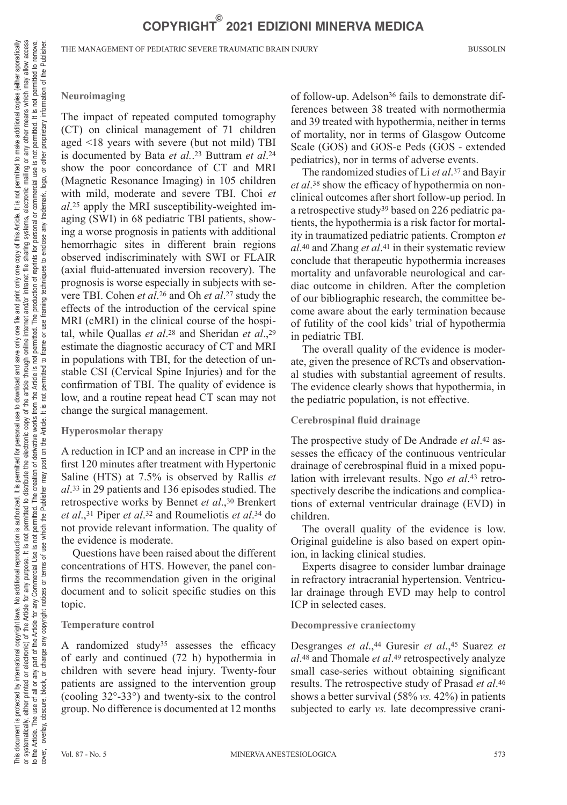THE MANAGEMENT OF PEDIATRIC SEVERE TRAUMATIC BRAIN INJURY BUSSOLIN

The impact of repeated computed tomography (CT) on clinical management of 71 children aged <18 years with severe (but not mild) TBI is documented by Bata *et al.*.23 Buttram *et al*.24 show the poor concordance of CT and MRI (Magnetic Resonance Imaging) in 105 children with mild, moderate and severe TBI. Choi *et al*.25 apply the MRI susceptibility-weighted imaging (SWI) in 68 pediatric TBI patients, showing a worse prognosis in patients with additional hemorrhagic sites in different brain regions observed indiscriminately with SWI or FLAIR (axial fluid-attenuated inversion recovery). The prognosis is worse especially in subjects with severe TBI. Cohen *et al*.26 and Oh *et al*.27 study the effects of the introduction of the cervical spine MRI (cMRI) in the clinical course of the hospital, while Quallas *et al*.28 and Sheridan *et al*.,29 estimate the diagnostic accuracy of CT and MRI in populations with TBI, for the detection of unstable CSI (Cervical Spine Injuries) and for the confirmation of TBI. The quality of evidence is low, and a routine repeat head CT scan may not change the surgical management.

### **Hyperosmolar therapy**

A reduction in ICP and an increase in CPP in the first 120 minutes after treatment with Hypertonic Saline (HTS) at 7.5% is observed by Rallis *et al*.33 in 29 patients and 136 episodes studied. The retrospective works by Bennet *et al*.,30 Brenkert *et al*.,31 Piper *et al*.32 and Roumeliotis *et al*.34 do not provide relevant information. The quality of the evidence is moderate.

Questions have been raised about the different concentrations of HTS. However, the panel confirms the recommendation given in the original document and to solicit specific studies on this topic.

### **Temperature control**

A randomized study35 assesses the efficacy of early and continued (72 h) hypothermia in children with severe head injury. Twenty-four patients are assigned to the intervention group (cooling 32°-33°) and twenty-six to the control group. No difference is documented at 12 months of follow-up. Adelson<sup>36</sup> fails to demonstrate differences between 38 treated with normothermia and 39 treated with hypothermia, neither in terms of mortality, nor in terms of Glasgow Outcome Scale (GOS) and GOS-e Peds (GOS - extended pediatrics), nor in terms of adverse events.

The randomized studies of Li *et al*.37 and Bayir *et al*.38 show the efficacy of hypothermia on nonclinical outcomes after short follow-up period. In a retrospective study39 based on 226 pediatric patients, the hypothermia is a risk factor for mortality in traumatized pediatric patients. Crompton *et al*.40 and Zhang *et al*.41 in their systematic review conclude that therapeutic hypothermia increases mortality and unfavorable neurological and cardiac outcome in children. After the completion of our bibliographic research, the committee become aware about the early termination because of futility of the cool kids' trial of hypothermia in pediatric TBI.

The overall quality of the evidence is moderate, given the presence of RCTs and observational studies with substantial agreement of results. The evidence clearly shows that hypothermia, in the pediatric population, is not effective.

### **Cerebrospinal fluid drainage**

The prospective study of De Andrade *et al*.42 assesses the efficacy of the continuous ventricular drainage of cerebrospinal fluid in a mixed population with irrelevant results. Ngo *et al*.43 retrospectively describe the indications and complications of external ventricular drainage (EVD) in children.

The overall quality of the evidence is low. Original guideline is also based on expert opinion, in lacking clinical studies.

Experts disagree to consider lumbar drainage in refractory intracranial hypertension. Ventricular drainage through EVD may help to control ICP in selected cases.

#### **Decompressive craniectomy**

Desgranges *et al.*,<sup>44</sup> Guresir *et al.*,<sup>45</sup> Suarez *et al*.48 and Thomale *et al*.49 retrospectively analyze small case-series without obtaining significant results. The retrospective study of Prasad *et al*.46 shows a better survival (58% *vs.* 42%) in patients subjected to early *vs.* late decompressive crani-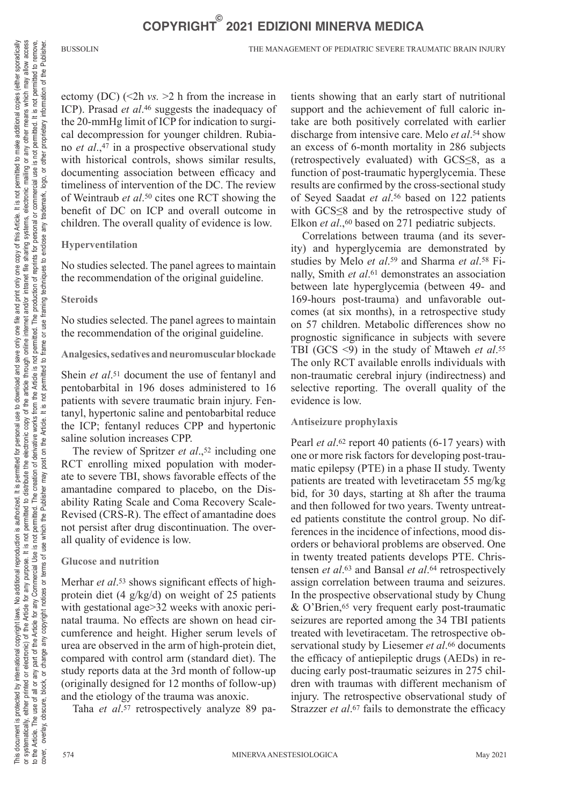BUSSOLIN THE MANAGEMENT OF PEDIATRIC SEVERE TRAUMATIC BRAIN INJURY

ectomy (DC) (<2h *vs.* >2 h from the increase in ICP). Prasad *et al*.46 suggests the inadequacy of the 20-mmHg limit of ICP for indication to surgical decompression for younger children. Rubiano *et al*.,47 in a prospective observational study with historical controls, shows similar results, documenting association between efficacy and timeliness of intervention of the DC. The review of Weintraub *et al*.50 cites one RCT showing the benefit of DC on ICP and overall outcome in children. The overall quality of evidence is low.

### **Hyperventilation**

No studies selected. The panel agrees to maintain the recommendation of the original guideline.

### **Steroids**

No studies selected. The panel agrees to maintain the recommendation of the original guideline.

### **Analgesics, sedatives and neuromuscular blockade**

Shein *et al.*<sup>51</sup> document the use of fentanyl and pentobarbital in 196 doses administered to 16 patients with severe traumatic brain injury. Fentanyl, hypertonic saline and pentobarbital reduce the ICP; fentanyl reduces CPP and hypertonic saline solution increases CPP.

The review of Spritzer *et al.*,<sup>52</sup> including one RCT enrolling mixed population with moderate to severe TBI, shows favorable effects of the amantadine compared to placebo, on the Disability Rating Scale and Coma Recovery Scale-Revised (CRS-R). The effect of amantadine does not persist after drug discontinuation. The overall quality of evidence is low.

### **Glucose and nutrition**

Merhar *et al.*<sup>53</sup> shows significant effects of highprotein diet (4 g/kg/d) on weight of 25 patients with gestational age > 32 weeks with anoxic perinatal trauma. No effects are shown on head circumference and height. Higher serum levels of urea are observed in the arm of high-protein diet, compared with control arm (standard diet). The study reports data at the 3rd month of follow-up (originally designed for 12 months of follow-up) and the etiology of the trauma was anoxic.

Taha *et al*.57 retrospectively analyze 89 pa-

tients showing that an early start of nutritional support and the achievement of full caloric intake are both positively correlated with earlier discharge from intensive care. Melo *et al*.54 show an excess of 6-month mortality in 286 subjects (retrospectively evaluated) with GCS≤8, as a function of post-traumatic hyperglycemia. These results are confirmed by the cross-sectional study of Seyed Saadat *et al*.56 based on 122 patients with GCS≤8 and by the retrospective study of Elkon *et al.*,<sup>60</sup> based on 271 pediatric subjects.

Correlations between trauma (and its severity) and hyperglycemia are demonstrated by studies by Melo *et al*.59 and Sharma *et al*.58 Finally, Smith *et al*.61 demonstrates an association between late hyperglycemia (between 49- and 169-hours post-trauma) and unfavorable outcomes (at six months), in a retrospective study on 57 children. Metabolic differences show no prognostic significance in subjects with severe TBI (GCS <9) in the study of Mtaweh *et al*.55 The only RCT available enrolls individuals with non-traumatic cerebral injury (indirectness) and selective reporting. The overall quality of the evidence is low.

### **Antiseizure prophylaxis**

Pearl *et al.*<sup>62</sup> report 40 patients (6-17 years) with one or more risk factors for developing post-traumatic epilepsy (PTE) in a phase II study. Twenty patients are treated with levetiracetam 55 mg/kg bid, for 30 days, starting at 8h after the trauma and then followed for two years. Twenty untreated patients constitute the control group. No differences in the incidence of infections, mood disorders or behavioral problems are observed. One in twenty treated patients develops PTE. Christensen *et al*.63 and Bansal *et al*.64 retrospectively assign correlation between trauma and seizures. In the prospective observational study by Chung & O'Brien,65 very frequent early post-traumatic seizures are reported among the 34 TBI patients treated with levetiracetam. The retrospective observational study by Liesemer *et al*.66 documents the efficacy of antiepileptic drugs (AEDs) in reducing early post-traumatic seizures in 275 children with traumas with different mechanism of injury. The retrospective observational study of Strazzer *et al.*<sup>67</sup> fails to demonstrate the efficacy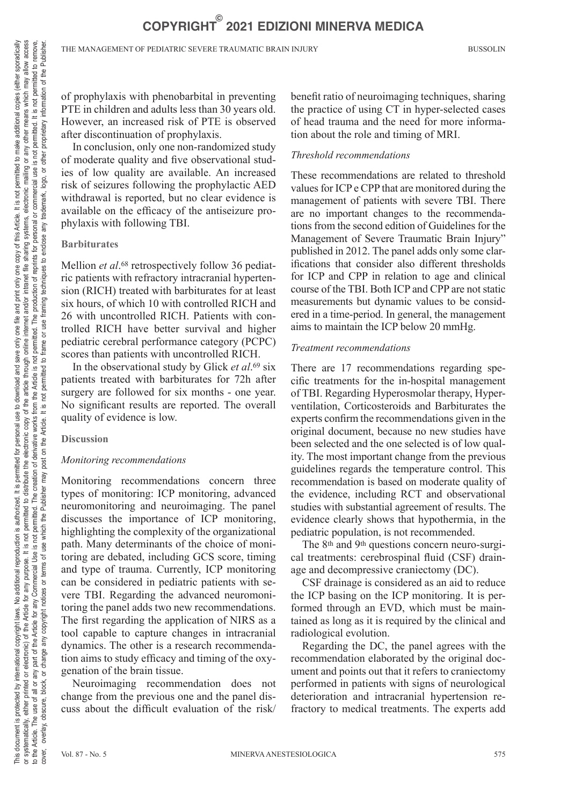of prophylaxis with phenobarbital in preventing PTE in children and adults less than 30 years old. However, an increased risk of PTE is observed after discontinuation of prophylaxis.

In conclusion, only one non-randomized study of moderate quality and five observational studies of low quality are available. An increased risk of seizures following the prophylactic AED withdrawal is reported, but no clear evidence is available on the efficacy of the antiseizure prophylaxis with following TBI.

#### **Barbiturates**

Mellion *et al.*<sup>68</sup> retrospectively follow 36 pediatric patients with refractory intracranial hypertension (RICH) treated with barbiturates for at least six hours, of which 10 with controlled RICH and 26 with uncontrolled RICH. Patients with controlled RICH have better survival and higher pediatric cerebral performance category (PCPC) scores than patients with uncontrolled RICH.

In the observational study by Glick *et al*.69 six patients treated with barbiturates for 72h after surgery are followed for six months - one year. No significant results are reported. The overall quality of evidence is low.

#### **Discussion**

#### *Monitoring recommendations*

Monitoring recommendations concern three types of monitoring: ICP monitoring, advanced neuromonitoring and neuroimaging. The panel discusses the importance of ICP monitoring, highlighting the complexity of the organizational path. Many determinants of the choice of monitoring are debated, including GCS score, timing and type of trauma. Currently, ICP monitoring can be considered in pediatric patients with severe TBI. Regarding the advanced neuromonitoring the panel adds two new recommendations. The first regarding the application of NIRS as a tool capable to capture changes in intracranial dynamics. The other is a research recommendation aims to study efficacy and timing of the oxygenation of the brain tissue.

Neuroimaging recommendation does not change from the previous one and the panel discuss about the difficult evaluation of the risk/ benefit ratio of neuroimaging techniques, sharing the practice of using CT in hyper-selected cases of head trauma and the need for more information about the role and timing of MRI.

#### *Threshold recommendations*

These recommendations are related to threshold values for ICP e CPP that are monitored during the management of patients with severe TBI. There are no important changes to the recommendations from the second edition of Guidelines for the Management of Severe Traumatic Brain Injury" published in 2012. The panel adds only some clarifications that consider also different thresholds for ICP and CPP in relation to age and clinical course of the TBI. Both ICP and CPP are not static measurements but dynamic values to be considered in a time-period. In general, the management aims to maintain the ICP below 20 mmHg.

#### *Treatment recommendations*

There are 17 recommendations regarding specific treatments for the in-hospital management of TBI. Regarding Hyperosmolar therapy, Hyperventilation, Corticosteroids and Barbiturates the experts confirm the recommendations given in the original document, because no new studies have been selected and the one selected is of low quality. The most important change from the previous guidelines regards the temperature control. This recommendation is based on moderate quality of the evidence, including RCT and observational studies with substantial agreement of results. The evidence clearly shows that hypothermia, in the pediatric population, is not recommended.

The 8<sup>th</sup> and 9<sup>th</sup> questions concern neuro-surgical treatments: cerebrospinal fluid (CSF) drainage and decompressive craniectomy (DC).

CSF drainage is considered as an aid to reduce the ICP basing on the ICP monitoring. It is performed through an EVD, which must be maintained as long as it is required by the clinical and radiological evolution.

Regarding the DC, the panel agrees with the recommendation elaborated by the original document and points out that it refers to craniectomy performed in patients with signs of neurological deterioration and intracranial hypertension refractory to medical treatments. The experts add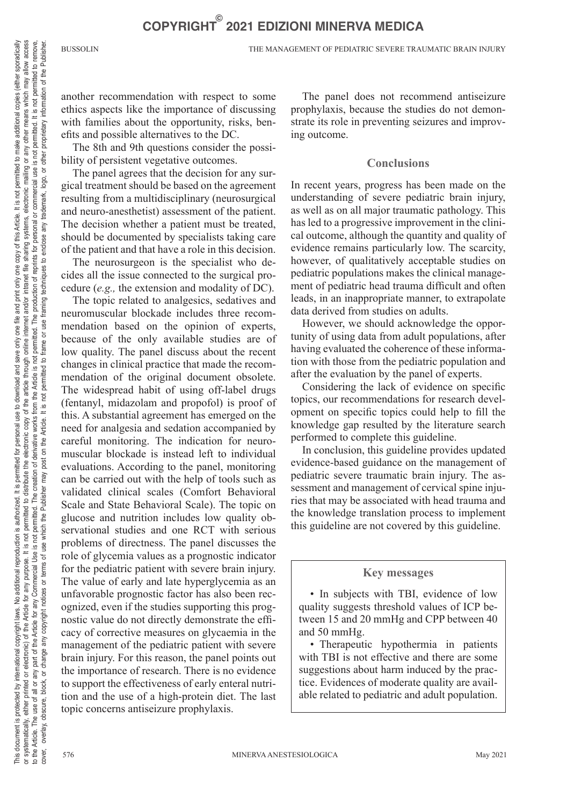BUSSOLIN THE MANAGEMENT OF PEDIATRIC SEVERE TRAUMATIC BRAIN INJURY

another recommendation with respect to some ethics aspects like the importance of discussing with families about the opportunity, risks, benefits and possible alternatives to the DC.

The 8th and 9th questions consider the possibility of persistent vegetative outcomes.

The panel agrees that the decision for any surgical treatment should be based on the agreement resulting from a multidisciplinary (neurosurgical and neuro-anesthetist) assessment of the patient. The decision whether a patient must be treated, should be documented by specialists taking care of the patient and that have a role in this decision.

The neurosurgeon is the specialist who decides all the issue connected to the surgical procedure (*e.g.,* the extension and modality of DC).

The topic related to analgesics, sedatives and neuromuscular blockade includes three recommendation based on the opinion of experts, because of the only available studies are of low quality. The panel discuss about the recent changes in clinical practice that made the recommendation of the original document obsolete. The widespread habit of using off-label drugs (fentanyl, midazolam and propofol) is proof of this. A substantial agreement has emerged on the need for analgesia and sedation accompanied by careful monitoring. The indication for neuromuscular blockade is instead left to individual evaluations. According to the panel, monitoring can be carried out with the help of tools such as validated clinical scales (Comfort Behavioral Scale and State Behavioral Scale). The topic on glucose and nutrition includes low quality observational studies and one RCT with serious problems of directness. The panel discusses the role of glycemia values as a prognostic indicator for the pediatric patient with severe brain injury. The value of early and late hyperglycemia as an unfavorable prognostic factor has also been recognized, even if the studies supporting this prognostic value do not directly demonstrate the efficacy of corrective measures on glycaemia in the management of the pediatric patient with severe brain injury. For this reason, the panel points out the importance of research. There is no evidence to support the effectiveness of early enteral nutrition and the use of a high-protein diet. The last topic concerns antiseizure prophylaxis.

The panel does not recommend antiseizure prophylaxis, because the studies do not demonstrate its role in preventing seizures and improving outcome.

## **Conclusions**

In recent years, progress has been made on the understanding of severe pediatric brain injury, as well as on all major traumatic pathology. This has led to a progressive improvement in the clinical outcome, although the quantity and quality of evidence remains particularly low. The scarcity, however, of qualitatively acceptable studies on pediatric populations makes the clinical management of pediatric head trauma difficult and often leads, in an inappropriate manner, to extrapolate data derived from studies on adults.

However, we should acknowledge the opportunity of using data from adult populations, after having evaluated the coherence of these information with those from the pediatric population and after the evaluation by the panel of experts.

Considering the lack of evidence on specific topics, our recommendations for research development on specific topics could help to fill the knowledge gap resulted by the literature search performed to complete this guideline.

In conclusion, this guideline provides updated evidence-based guidance on the management of pediatric severe traumatic brain injury. The assessment and management of cervical spine injuries that may be associated with head trauma and the knowledge translation process to implement this guideline are not covered by this guideline.

### **Key messages**

• In subjects with TBI, evidence of low quality suggests threshold values of ICP between 15 and 20 mmHg and CPP between 40 and 50 mmHg.

• Therapeutic hypothermia in patients with TBI is not effective and there are some suggestions about harm induced by the practice. Evidences of moderate quality are available related to pediatric and adult population.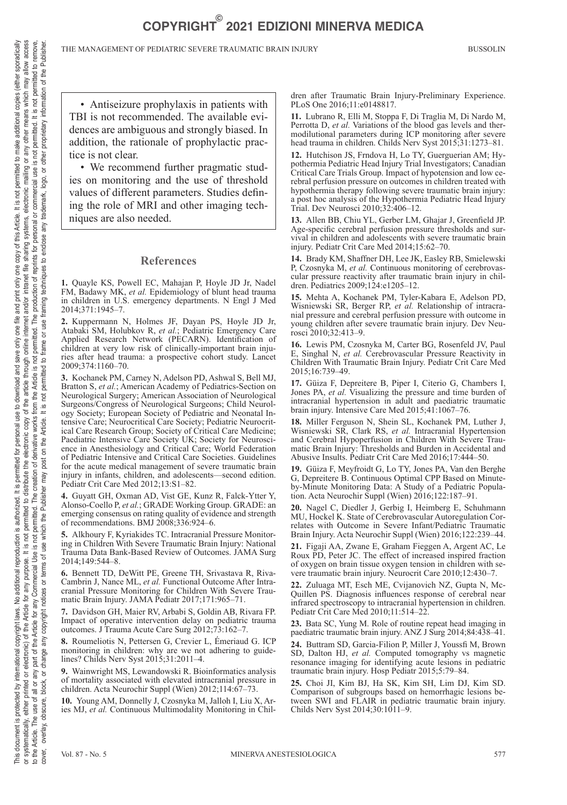• Antiseizure prophylaxis in patients with TBI is not recommended. The available evidences are ambiguous and strongly biased. In addition, the rationale of prophylactic practice is not clear.

• We recommend further pragmatic studies on monitoring and the use of threshold values of different parameters. Studies defining the role of MRI and other imaging techniques are also needed.

#### **References**

**1.** Quayle KS, Powell EC, Mahajan P, Hoyle JD Jr, Nadel FM, Badawy MK, *et al.* Epidemiology of blunt head trauma in children in U.S. emergency departments. N Engl J Med 2014;371:1945–7.

**2.** Kuppermann N, Holmes JF, Dayan PS, Hoyle JD Jr, Atabaki SM, Holubkov R, *et al.*; Pediatric Emergency Care Applied Research Network (PECARN). Identification of children at very low risk of clinically-important brain injuries after head trauma: a prospective cohort study. Lancet 2009;374:1160–70.

**3.** Kochanek PM, Carney N, Adelson PD, Ashwal S, Bell MJ, Bratton S, *et al.*; American Academy of Pediatrics-Section on Neurological Surgery; American Association of Neurological Surgeons/Congress of Neurological Surgeons; Child Neurology Society; European Society of Pediatric and Neonatal Intensive Care; Neurocritical Care Society; Pediatric Neurocritical Care Research Group; Society of Critical Care Medicine; Paediatric Intensive Care Society UK; Society for Neuroscience in Anesthesiology and Critical Care; World Federation of Pediatric Intensive and Critical Care Societies. Guidelines for the acute medical management of severe traumatic brain injury in infants, children, and adolescents—second edition. Pediatr Crit Care Med 2012;13:S1–82.

**4.** Guyatt GH, Oxman AD, Vist GE, Kunz R, Falck-Ytter Y, Alonso-Coello P, *et al.*; GRADE Working Group. GRADE: an emerging consensus on rating quality of evidence and strength of recommendations. BMJ 2008;336:924–6.

**5.** Alkhoury F, Kyriakides TC. Intracranial Pressure Monitoring in Children With Severe Traumatic Brain Injury: National Trauma Data Bank-Based Review of Outcomes. JAMA Surg 2014;149:544–8.

**6.** Bennett TD, DeWitt PE, Greene TH, Srivastava R, Riva-Cambrin J, Nance ML, *et al.* Functional Outcome After Intracranial Pressure Monitoring for Children With Severe Traumatic Brain Injury. JAMA Pediatr 2017;171:965–71.

**7.** Davidson GH, Maier RV, Arbabi S, Goldin AB, Rivara FP. Impact of operative intervention delay on pediatric trauma outcomes. J Trauma Acute Care Surg 2012;73:162–7.

**8.** Roumeliotis N, Pettersen G, Crevier L, Émeriaud G. ICP monitoring in children: why are we not adhering to guidelines? Childs Nerv Syst 2015;31:2011–4.

**9.** Wainwright MS, Lewandowski R. Bioinformatics analysis of mortality associated with elevated intracranial pressure in children. Acta Neurochir Suppl (Wien) 2012;114:67–73.

**10.** Young AM, Donnelly J, Czosnyka M, Jalloh I, Liu X, Aries MJ, *et al.* Continuous Multimodality Monitoring in Children after Traumatic Brain Injury-Preliminary Experience. PLoS One 2016;11:e0148817.

**11.** Lubrano R, Elli M, Stoppa F, Di Traglia M, Di Nardo M, Perrotta D, *et al.* Variations of the blood gas levels and thermodilutional parameters during ICP monitoring after severe head trauma in children. Childs Nerv Syst 2015;31:1273–81.

**12.** Hutchison JS, Frndova H, Lo TY, Guerguerian AM; Hypothermia Pediatric Head Injury Trial Investigators; Canadian Critical Care Trials Group. Impact of hypotension and low cerebral perfusion pressure on outcomes in children treated with hypothermia therapy following severe traumatic brain injury: a post hoc analysis of the Hypothermia Pediatric Head Injury Trial. Dev Neurosci 2010;32:406–12.

**13.** Allen BB, Chiu YL, Gerber LM, Ghajar J, Greenfield JP. Age-specific cerebral perfusion pressure thresholds and survival in children and adolescents with severe traumatic brain injury. Pediatr Crit Care Med 2014;15:62–70.

**14.** Brady KM, Shaffner DH, Lee JK, Easley RB, Smielewski P, Czosnyka M, *et al.* Continuous monitoring of cerebrovascular pressure reactivity after traumatic brain injury in children. Pediatrics 2009;124:e1205–12.

**15.** Mehta A, Kochanek PM, Tyler-Kabara E, Adelson PD, Wisniewski SR, Berger RP, *et al.* Relationship of intracranial pressure and cerebral perfusion pressure with outcome in young children after severe traumatic brain injury. Dev Neurosci 2010;32:413–9.

**16.** Lewis PM, Czosnyka M, Carter BG, Rosenfeld JV, Paul E, Singhal N, *et al.* Cerebrovascular Pressure Reactivity in Children With Traumatic Brain Injury. Pediatr Crit Care Med 2015;16:739–49.

**17.** Güiza F, Depreitere B, Piper I, Citerio G, Chambers I, Jones PA, *et al.* Visualizing the pressure and time burden of intracranial hypertension in adult and paediatric traumatic brain injury. Intensive Care Med 2015;41:1067–76.

**18.** Miller Ferguson N, Shein SL, Kochanek PM, Luther J, Wisniewski SR, Clark RS, *et al.* Intracranial Hypertension and Cerebral Hypoperfusion in Children With Severe Traumatic Brain Injury: Thresholds and Burden in Accidental and Abusive Insults. Pediatr Crit Care Med 2016;17:444–50.

**19.** Güiza F, Meyfroidt G, Lo TY, Jones PA, Van den Berghe G, Depreitere B. Continuous Optimal CPP Based on Minuteby-Minute Monitoring Data: A Study of a Pediatric Population. Acta Neurochir Suppl (Wien) 2016;122:187–91.

**20.** Nagel C, Diedler J, Gerbig I, Heimberg E, Schuhmann MU, Hockel K. State of Cerebrovascular Autoregulation Correlates with Outcome in Severe Infant/Pediatric Traumatic Brain Injury. Acta Neurochir Suppl (Wien) 2016;122:239–44.

**21.** Figaji AA, Zwane E, Graham Fieggen A, Argent AC, Le Roux PD, Peter JC. The effect of increased inspired fraction of oxygen on brain tissue oxygen tension in children with severe traumatic brain injury. Neurocrit Care 2010;12:430–7.

**22.** Zuluaga MT, Esch ME, Cvijanovich NZ, Gupta N, Mc-Quillen PS. Diagnosis influences response of cerebral near infrared spectroscopy to intracranial hypertension in children. Pediatr Crit Care Med 2010;11:514-22

**23.** Bata SC, Yung M. Role of routine repeat head imaging in paediatric traumatic brain injury. ANZ J Surg 2014;84:438–41.

**24.** Buttram SD, Garcia-Filion P, Miller J, Youssfi M, Brown SD, Dalton HJ, *et al.* Computed tomography vs magnetic resonance imaging for identifying acute lesions in pediatric traumatic brain injury. Hosp Pediatr 2015;5:79–84.

**25.** Choi JI, Kim BJ, Ha SK, Kim SH, Lim DJ, Kim SD. Comparison of subgroups based on hemorrhagic lesions between SWI and FLAIR in pediatric traumatic brain injury. Childs Nerv Syst 2014;30:1011–9.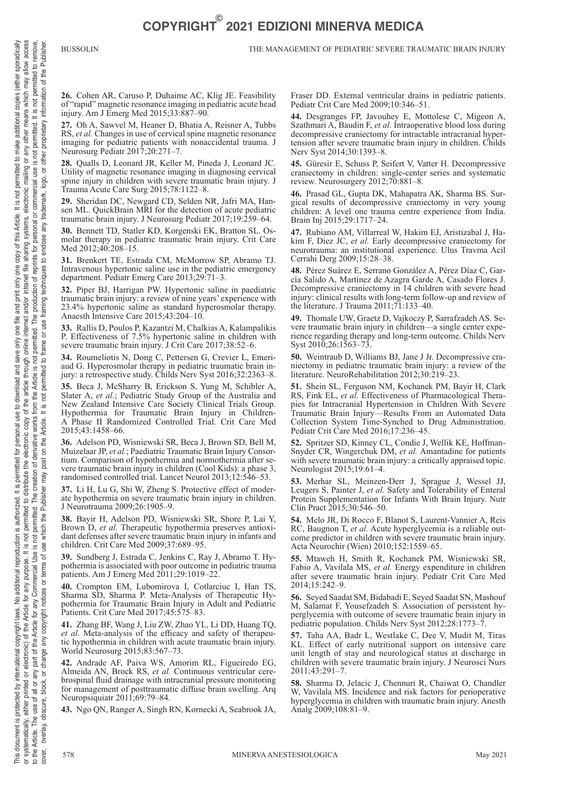**26.** Cohen AR, Caruso P, Duhaime AC, Klig JE. Feasibility of "rapid" magnetic resonance imaging in pediatric acute head injury. Am J Emerg Med 2015;33:887–90.

**27.** Oh A, Sawvel M, Heaner D, Bhatia A, Reisner A, Tubbs RS, *et al.* Changes in use of cervical spine magnetic resonance imaging for pediatric patients with nonaccidental trauma. J Neurosurg Pediatr 2017;20:271–7.

**28.** Qualls D, Leonard JR, Keller M, Pineda J, Leonard JC. Utility of magnetic resonance imaging in diagnosing cervical spine injury in children with severe traumatic brain injury. J Trauma Acute Care Surg 2015;78:1122–8.

**29.** Sheridan DC, Newgard CD, Selden NR, Jafri MA, Hansen ML. QuickBrain MRI for the detection of acute pediatric traumatic brain injury. J Neurosurg Pediatr 2017;19:259–64.

**30.** Bennett TD, Statler KD, Korgenski EK, Bratton SL. Osmolar therapy in pediatric traumatic brain injury. Crit Care Med 2012;40:208-15.

**31.** Brenkert TE, Estrada CM, McMorrow SP, Abramo TJ. Intravenous hypertonic saline use in the pediatric emergency department. Pediatr Emerg Care 2013;29:71–3.

**32.** Piper BJ, Harrigan PW. Hypertonic saline in paediatric traumatic brain injury: a review of nine years' experience with 23.4% hypertonic saline as standard hyperosmolar therapy. Anaesth Intensive Care 2015;43:204–10.

**33.** Rallis D, Poulos P, Kazantzi M, Chalkias A, Kalampalikis P. Effectiveness of 7.5% hypertonic saline in children with severe traumatic brain injury. J Crit Care 2017;38:52–6.

**34.** Roumeliotis N, Dong C, Pettersen G, Crevier L, Emeriaud G. Hyperosmolar therapy in pediatric traumatic brain injury: a retrospective study. Childs Nerv Syst 2016;32:2363–8.

**35.** Beca J, McSharry B, Erickson S, Yung M, Schibler A, Slater A, *et al.*; Pediatric Study Group of the Australia and New Zealand Intensive Care Society Clinical Trials Group. Hypothermia for Traumatic Brain Injury in Children-A Phase II Randomized Controlled Trial. Crit Care Med 2015;43:1458–66.

**36.** Adelson PD, Wisniewski SR, Beca J, Brown SD, Bell M, Muizelaar JP, *et al.*; Paediatric Traumatic Brain Injury Consortium. Comparison of hypothermia and normothermia after severe traumatic brain injury in children (Cool Kids): a phase 3, randomised controlled trial. Lancet Neurol 2013;12:546–53.

**37.** Li H, Lu G, Shi W, Zheng S. Protective effect of moderate hypothermia on severe traumatic brain injury in children. J Neurotrauma 2009;26:1905–9.

**38.** Bayir H, Adelson PD, Wisniewski SR, Shore P, Lai Y, Brown D, *et al.* Therapeutic hypothermia preserves antioxidant defenses after severe traumatic brain injury in infants and children. Crit Care Med 2009;37:689–95.

**39.** Sundberg J, Estrada C, Jenkins C, Ray J, Abramo T. Hypothermia is associated with poor outcome in pediatric trauma patients. Am J Emerg Med 2011;29:1019–22.

**40.** Crompton EM, Lubomirova I, Cotlarciuc I, Han TS, Sharma SD, Sharma P. Meta-Analysis of Therapeutic Hypothermia for Traumatic Brain Injury in Adult and Pediatric Patients. Crit Care Med 2017;45:575–83.

**41.** Zhang BF, Wang J, Liu ZW, Zhao YL, Li DD, Huang TQ, *et al.* Meta-analysis of the efficacy and safety of therapeutic hypothermia in children with acute traumatic brain injury. World Neurosurg 2015;83:567–73.

**42.** Andrade AF, Paiva WS, Amorim RL, Figueiredo EG, Almeida AN, Brock RS, *et al.* Continuous ventricular cerebrospinal fluid drainage with intracranial pressure monitoring for management of posttraumatic diffuse brain swelling. Arq Neuropsiquiatr 2011;69:79–84.

**43.** Ngo QN, Ranger A, Singh RN, Kornecki A, Seabrook JA,

Fraser DD. External ventricular drains in pediatric patients. Pediatr Crit Care Med 2009;10:346–51.

**44.** Desgranges FP, Javouhey E, Mottolese C, Migeon A, Szathmari A, Baudin F, *et al.* Intraoperative blood loss during decompressive craniectomy for intractable intracranial hypertension after severe traumatic brain injury in children. Childs Nerv Syst 2014;30:1393–8.

**45.** Güresir E, Schuss P, Seifert V, Vatter H. Decompressive craniectomy in children: single-center series and systematic review. Neurosurgery 2012;70:881–8.

**46.** Prasad GL, Gupta DK, Mahapatra AK, Sharma BS. Surgical results of decompressive craniectomy in very young children: A level one trauma centre experience from India. Brain Inj 2015;29:1717–24.

**47.** Rubiano AM, Villarreal W, Hakim EJ, Aristizabal J, Hakim F, Dìez JC, *et al.* Early decompressive craniectomy for neurotrauma: an institutional experience. Ulus Travma Acil Cerrahi Derg 2009;15:28–38.

**48.** Pérez Suárez E, Serrano González A, Pérez Díaz C, García Salido A, Martínez de Azagra Garde A, Casado Flores J. Decompressive craniectomy in 14 children with severe head injury: clinical results with long-term follow-up and review of the literature. J Trauma 2011;71:133–40.

**49.** Thomale UW, Graetz D, Vajkoczy P, Sarrafzadeh AS. Severe traumatic brain injury in children—a single center experience regarding therapy and long-term outcome. Childs Nerv Syst 2010;26:1563–73.

**50.** Weintraub D, Williams BJ, Jane J Jr. Decompressive craniectomy in pediatric traumatic brain injury: a review of the literature. NeuroRehabilitation 2012;30:219–23.

**51.** Shein SL, Ferguson NM, Kochanek PM, Bayir H, Clark RS, Fink EL, *et al.* Effectiveness of Pharmacological Therapies for Intracranial Hypertension in Children With Severe Traumatic Brain Injury—Results From an Automated Data Collection System Time-Synched to Drug Administration. Pediatr Crit Care Med 2016;17:236–45.

**52.** Spritzer SD, Kinney CL, Condie J, Wellik KE, Hoffman-Snyder CR, Wingerchuk DM, *et al.* Amantadine for patients with severe traumatic brain injury: a critically appraised topic. Neurologist 2015;19:61–4.

**53.** Merhar SL, Meinzen-Derr J, Sprague J, Wessel JJ, Leugers S, Painter J, *et al.* Safety and Tolerability of Enteral Protein Supplementation for Infants With Brain Injury. Nutr Clin Pract 2015;30:546–50.

**54.** Melo JR, Di Rocco F, Blanot S, Laurent-Vannier A, Reis RC, Baugnon T, *et al.* Acute hyperglycemia is a reliable outcome predictor in children with severe traumatic brain injury. Acta Neurochir (Wien) 2010;152:1559–65.

**55.** Mtaweh H, Smith R, Kochanek PM, Wisniewski SR, Fabio A, Vavilala MS, *et al.* Energy expenditure in children after severe traumatic brain injury. Pediatr Crit Care Med 2014;15:242–9.

**56.** Seyed Saadat SM, Bidabadi E, Seyed Saadat SN, Mashouf M, Salamat F, Yousefzadeh S. Association of persistent hyperglycemia with outcome of severe traumatic brain injury in pediatric population. Childs Nerv Syst 2012;28:1773–7.

**57.** Taha AA, Badr L, Westlake C, Dee V, Mudit M, Tiras KL. Effect of early nutritional support on intensive care unit length of stay and neurological status at discharge in children with severe traumatic brain injury. J Neurosci Nurs 2011;43:291–7.

**58.** Sharma D, Jelacic J, Chennuri R, Chaiwat O, Chandler W, Vavilala MS. Incidence and risk factors for perioperative hyperglycemia in children with traumatic brain injury. Anesth Analg 2009;108:81–9.